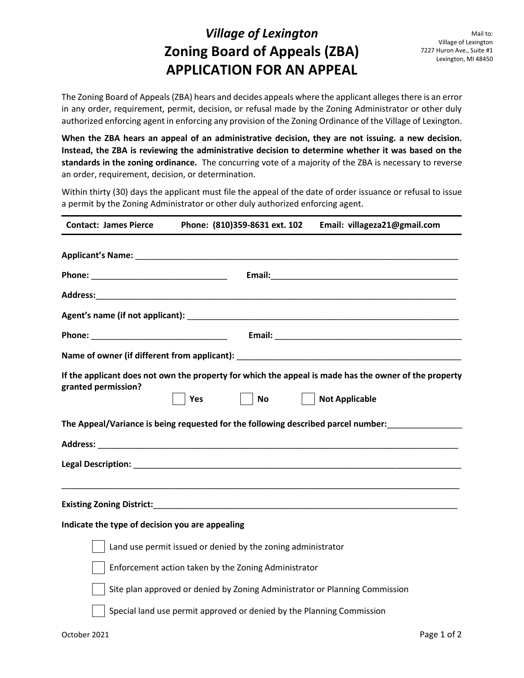## *Village of Lexington* **Zoning Board of Appeals (ZBA) APPLICATION FOR AN APPEAL**

The Zoning Board of Appeals (ZBA) hears and decides appeals where the applicant alleges there is an error in any order, requirement, permit, decision, or refusal made by the Zoning Administrator or other duly authorized enforcing agent in enforcing any provision of the Zoning Ordinance of the Village of Lexington.

**When the ZBA hears an appeal of an administrative decision, they are not issuing. a new decision. Instead, the ZBA is reviewing the administrative decision to determine whether it was based on the standards in the zoning ordinance.** The concurring vote of a majority of the ZBA is necessary to reverse an order, requirement, decision, or determination.

Within thirty (30) days the applicant must file the appeal of the date of order issuance or refusal to issue a permit by the Zoning Administrator or other duly authorized enforcing agent.

| <b>Contact: James Pierce</b>                    | Phone: (810)359-8631 ext. 102                                | Email: villageza21@gmail.com                                                                                                   |
|-------------------------------------------------|--------------------------------------------------------------|--------------------------------------------------------------------------------------------------------------------------------|
|                                                 |                                                              |                                                                                                                                |
|                                                 |                                                              |                                                                                                                                |
|                                                 |                                                              |                                                                                                                                |
|                                                 |                                                              |                                                                                                                                |
|                                                 |                                                              |                                                                                                                                |
|                                                 |                                                              |                                                                                                                                |
| granted permission?                             | $\vert$ No $\vert$<br>Yes                                    | If the applicant does not own the property for which the appeal is made has the owner of the property<br><b>Not Applicable</b> |
|                                                 |                                                              | The Appeal/Variance is being requested for the following described parcel number:                                              |
|                                                 |                                                              |                                                                                                                                |
|                                                 |                                                              |                                                                                                                                |
|                                                 |                                                              |                                                                                                                                |
| Indicate the type of decision you are appealing |                                                              |                                                                                                                                |
|                                                 | Land use permit issued or denied by the zoning administrator |                                                                                                                                |
|                                                 | Enforcement action taken by the Zoning Administrator         |                                                                                                                                |

Site plan approved or denied by Zoning Administrator or Planning Commission

Special land use permit approved or denied by the Planning Commission